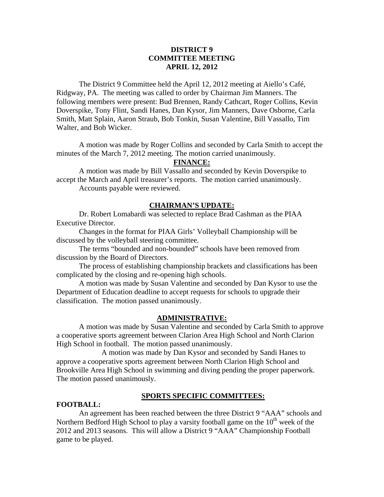# **DISTRICT 9 COMMITTEE MEETING APRIL 12, 2012**

 The District 9 Committee held the April 12, 2012 meeting at Aiello's Café, Ridgway, PA. The meeting was called to order by Chairman Jim Manners. The following members were present: Bud Brennen, Randy Cathcart, Roger Collins, Kevin Doverspike, Tony Flint, Sandi Hanes, Dan Kysor, Jim Manners, Dave Osborne, Carla Smith, Matt Splain, Aaron Straub, Bob Tonkin, Susan Valentine, Bill Vassallo, Tim Walter, and Bob Wicker.

 A motion was made by Roger Collins and seconded by Carla Smith to accept the minutes of the March 7, 2012 meeting. The motion carried unanimously.

## **FINANCE:**

A motion was made by Bill Vassallo and seconded by Kevin Doverspike to accept the March and April treasurer's reports. The motion carried unanimously. Accounts payable were reviewed.

## **CHAIRMAN'S UPDATE:**

 Dr. Robert Lomabardi was selected to replace Brad Cashman as the PIAA Executive Director.

 Changes in the format for PIAA Girls' Volleyball Championship will be discussed by the volleyball steering committee.

 The terms "bounded and non-bounded" schools have been removed from discussion by the Board of Directors.

 The process of establishing championship brackets and classifications has been complicated by the closing and re-opening high schools.

 A motion was made by Susan Valentine and seconded by Dan Kysor to use the Department of Education deadline to accept requests for schools to upgrade their classification. The motion passed unanimously.

## **ADMINISTRATIVE:**

A motion was made by Susan Valentine and seconded by Carla Smith to approve a cooperative sports agreement between Clarion Area High School and North Clarion High School in football. The motion passed unanimously.

 A motion was made by Dan Kysor and seconded by Sandi Hanes to approve a cooperative sports agreement between North Clarion High School and Brookville Area High School in swimming and diving pending the proper paperwork. The motion passed unanimously.

## **SPORTS SPECIFIC COMMITTEES:**

## **FOOTBALL:**

An agreement has been reached between the three District 9 "AAA" schools and Northern Bedford High School to play a varsity football game on the  $10<sup>th</sup>$  week of the 2012 and 2013 seasons. This will allow a District 9 "AAA" Championship Football game to be played.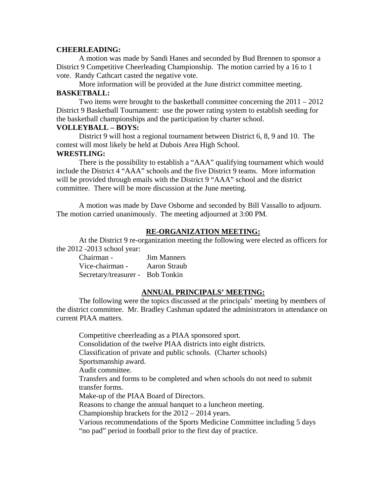#### **CHEERLEADING:**

A motion was made by Sandi Hanes and seconded by Bud Brennen to sponsor a District 9 Competitive Cheerleading Championship. The motion carried by a 16 to 1 vote. Randy Cathcart casted the negative vote.

 More information will be provided at the June district committee meeting. **BASKETBALL:** 

Two items were brought to the basketball committee concerning the 2011 – 2012 District 9 Basketball Tournament: use the power rating system to establish seeding for the basketball championships and the participation by charter school.

## **VOLLEYBALL – BOYS:**

District 9 will host a regional tournament between District 6, 8, 9 and 10. The contest will most likely be held at Dubois Area High School.

#### **WRESTLING:**

 There is the possibility to establish a "AAA" qualifying tournament which would include the District 4 "AAA" schools and the five District 9 teams. More information will be provided through emails with the District 9 "AAA" school and the district committee. There will be more discussion at the June meeting.

A motion was made by Dave Osborne and seconded by Bill Vassallo to adjourn. The motion carried unanimously. The meeting adjourned at 3:00 PM.

## **RE-ORGANIZATION MEETING:**

At the District 9 re-organization meeting the following were elected as officers for the 2012 -2013 school year:

| Chairman -                       | Jim Manners  |
|----------------------------------|--------------|
| Vice-chairman -                  | Aaron Straub |
| Secretary/treasurer - Bob Tonkin |              |

## **ANNUAL PRINCIPALS' MEETING:**

The following were the topics discussed at the principals' meeting by members of the district committee. Mr. Bradley Cashman updated the administrators in attendance on current PIAA matters.

 Competitive cheerleading as a PIAA sponsored sport. Consolidation of the twelve PIAA districts into eight districts. Classification of private and public schools. (Charter schools) Sportsmanship award. Audit committee. Transfers and forms to be completed and when schools do not need to submit transfer forms. Make-up of the PIAA Board of Directors. Reasons to change the annual banquet to a luncheon meeting. Championship brackets for the 2012 – 2014 years. Various recommendations of the Sports Medicine Committee including 5 days "no pad" period in football prior to the first day of practice.